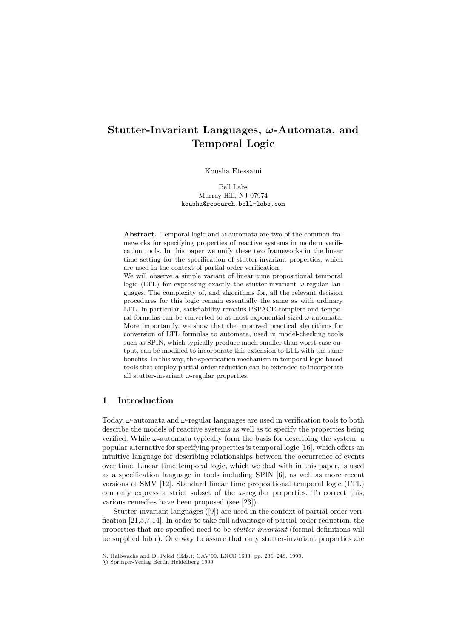# **Stutter-Invariant Languages,** *ω***-Automata, and Temporal Logic**

Kousha Etessami

Bell Labs Murray Hill, NJ 07974 kousha@research.bell-labs.com

**Abstract.** Temporal logic and  $\omega$ -automata are two of the common frameworks for specifying properties of reactive systems in modern verification tools. In this paper we unify these two frameworks in the linear time setting for the specification of stutter-invariant properties, which are used in the context of partial-order verification.

We will observe a simple variant of linear time propositional temporal logic (LTL) for expressing exactly the stutter-invariant  $\omega$ -regular languages. The complexity of, and algorithms for, all the relevant decision procedures for this logic remain essentially the same as with ordinary LTL. In particular, satisfiability remains PSPACE-complete and temporal formulas can be converted to at most exponential sized  $\omega$ -automata. More importantly, we show that the improved practical algorithms for conversion ofLTL formulas to automata, used in model-checking tools such as SPIN, which typically produce much smaller than worst-case output, can be modified to incorporate this extension to LTL with the same benefits. In this way, the specification mechanism in temporal logic-based tools that employ partial-order reduction can be extended to incorporate all stutter-invariant  $\omega$ -regular properties.

#### **1 Introduction**

Today,  $\omega$ -automata and  $\omega$ -regular languages are used in verification tools to both describe the models of reactive systems as well as to specify the properties being verified. While  $\omega$ -automata typically form the basis for describing the system, a popular alternative for specifying properties is temporal logic [16], which offers an intuitive language for describing relationships between the occurrence of events over time. Linear time temporal logic, which we deal with in this paper, is used as a specification language in tools including SPIN [6], as well as more recent versions of SMV [12]. Standard linear time propositional temporal logic (LTL) can only express a strict subset of the  $\omega$ -regular properties. To correct this, various remedies have been proposed (see [23]).

Stutter-invariant languages ([9]) are used in the context of partial-order verification [21,5,7,14]. In order to take full advantage of partial-order reduction, the properties that are specified need to be stutter-invariant (formal definitions will be supplied later). One way to assure that only stutter-invariant properties are

N. Halbwachs and D. Peled (Eds.): CAV'99, LNCS 1633, pp. 236–248, 1999.

c Springer-Verlag Berlin Heidelberg 1999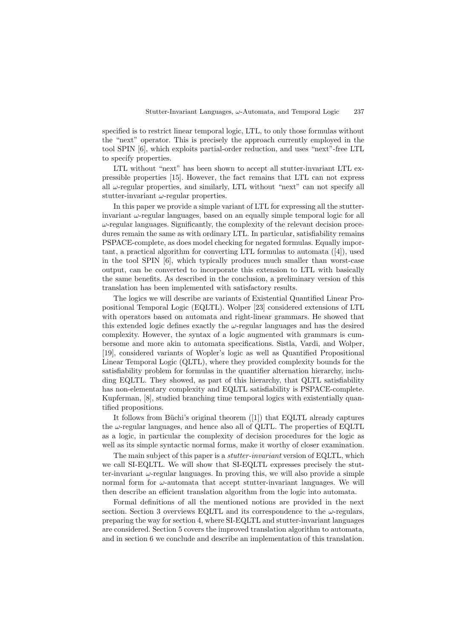specified is to restrict linear temporal logic, LTL, to only those formulas without the "next" operator. This is precisely the approach currently employed in the tool SPIN [6], which exploits partial-order reduction, and uses "next"-free LTL to specify properties.

LTL without "next" has been shown to accept all stutter-invariant LTL expressible properties [15]. However, the fact remains that LTL can not express all  $\omega$ -regular properties, and similarly, LTL without "next" can not specify all stutter-invariant  $\omega$ -regular properties.

In this paper we provide a simple variant of LTL for expressing all the stutterinvariant  $\omega$ -regular languages, based on an equally simple temporal logic for all  $\omega$ -regular languages. Significantly, the complexity of the relevant decision procedures remain the same as with ordinary LTL. In particular, satisfiability remains PSPACE-complete, as does model checking for negated formulas. Equally important, a practical algorithm for converting LTL formulas to automata ([4]), used in the tool SPIN [6], which typically produces much smaller than worst-case output, can be converted to incorporate this extension to LTL with basically the same benefits. As described in the conclusion, a preliminary version of this translation has been implemented with satisfactory results.

The logics we will describe are variants of Existential Quantified Linear Propositional Temporal Logic (EQLTL). Wolper [23] considered extensions of LTL with operators based on automata and right-linear grammars. He showed that this extended logic defines exactly the  $\omega$ -regular languages and has the desired complexity. However, the syntax of a logic augmented with grammars is cumbersome and more akin to automata specifications. Sistla, Vardi, and Wolper, [19], considered variants of Wopler's logic as well as Quantified Propositional Linear Temporal Logic (QLTL), where they provided complexity bounds for the satisfiability problem for formulas in the quantifier alternation hierarchy, including EQLTL. They showed, as part of this hierarchy, that QLTL satisfiability has non-elementary complexity and EQLTL satisfiability is PSPACE-complete. Kupferman, [8], studied branching time temporal logics with existentially quantified propositions.

It follows from Büchi's original theorem  $([1])$  that EQLTL already captures the  $\omega$ -regular languages, and hence also all of QLTL. The properties of EQLTL as a logic, in particular the complexity of decision procedures for the logic as well as its simple syntactic normal forms, make it worthy of closer examination.

The main subject of this paper is a *stutter-invariant* version of EQLTL, which we call SI-EQLTL. We will show that SI-EQLTL expresses precisely the stutter-invariant  $\omega$ -regular languages. In proving this, we will also provide a simple normal form for  $\omega$ -automata that accept stutter-invariant languages. We will then describe an efficient translation algorithm from the logic into automata.

Formal definitions of all the mentioned notions are provided in the next section. Section 3 overviews EQLTL and its correspondence to the  $\omega$ -regulars, preparing the way for section 4, where SI-EQLTL and stutter-invariant languages are considered. Section 5 covers the improved translation algorithm to automata, and in section 6 we conclude and describe an implementation of this translation.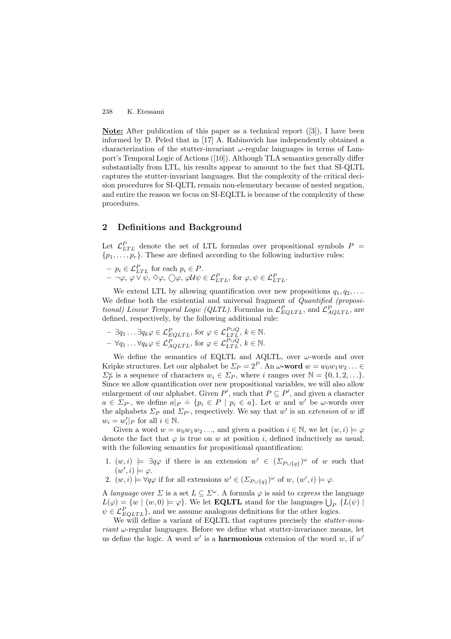**Note:** After publication of this paper as a technical report ([3]), I have been informed by D. Peled that in [17] A. Rabinovich has independently obtained a characterization of the stutter-invariant  $\omega$ -regular languages in terms of Lamport's Temporal Logic of Actions ([10]). Although TLA semantics generally differ substantially from LTL, his results appear to amount to the fact that SI-QLTL captures the stutter-invariant languages. But the complexity of the critical decision procedures for SI-QLTL remain non-elementary because of nested negation, and entire the reason we focus on SI-EQLTL is because of the complexity of these procedures.

## **2 Definitions and Background**

Let  $\mathcal{L}_{LTL}^P$  denote the set of LTL formulas over propositional symbols  $P =$  $\{p_1,\ldots,p_r\}$ . These are defined according to the following inductive rules:

 $-p_i \in \mathcal{L}_{LTL}^P$  for each  $p_i \in P$ .  $- \neg \varphi, \varphi \vee \psi, \Diamond \varphi, \bigcirc \varphi, \varphi \mathcal{U} \psi \in \mathcal{L}_{LTL}^{P},$  for  $\varphi, \psi \in \mathcal{L}_{LTL}^{P}.$ 

We extend LTL by allowing quantification over new propositions  $q_1, q_2, \ldots$ We define both the existential and universal fragment of *Quantified (proposi*tional) Linear Temporal Logic (QLTL). Formulas in  $\mathcal{L}_{EQLTL}^{P}$ , and  $\mathcal{L}_{AQLTL}^{P}$ , are defined, respectively, by the following additional rule:

 $- \exists q_1 \ldots \exists q_k \varphi \in \mathcal{L}_{EQLTL}^P$ , for  $\varphi \in \mathcal{L}_{LTL}^{P\cup Q}, k \in \mathbb{N}$ .  $- \forall q_1 \ldots \forall q_k \varphi \in \mathcal{L}_{AQLTL}^P$ , for  $\varphi \in \mathcal{L}_{LTL}^{P\cup Q}, k \in \mathbb{N}$ .

We define the semantics of EQLTL and AQLTL, over  $\omega$ -words and over Kripke structures. Let our alphabet be  $\Sigma_P = 2^P$ . An  $\omega$ **-word**  $w = w_0w_1w_2...$  $\Sigma_P^{\omega}$  is a sequence of characters  $w_i \in \Sigma_P$ , where i ranges over  $\mathbb{N} = \{0, 1, 2, \ldots\}$ . Since we allow quantification over new propositional variables, we will also allow enlargement of our alphabet. Given  $P'$ , such that  $P \subseteq P'$ , and given a character  $a \in \Sigma_{P}$ , we define  $a|_P \doteq \{p_i \in P \mid p_i \in a\}$ . Let w and w' be w-words over the alphabets  $\Sigma_P$  and  $\Sigma_{P'}$ , respectively. We say that w' is an extension of w iff  $w_i = w'_i|_P$  for all  $i \in \mathbb{N}$ .

Given a word  $w = w_0w_1w_2...$ , and given a position  $i \in \mathbb{N}$ , we let  $(w, i) \models \varphi$ denote the fact that  $\varphi$  is true on w at position i, defined inductively as usual, with the following semantics for propositional quantification:

- 1.  $(w, i) \models \exists q \varphi$  if there is an extension  $w' \in (\Sigma_{P \cup \{q\}})^\omega$  of w such that  $(w', i) \models \varphi.$
- 2.  $(w, i) \models \forall q \varphi$  if for all extensions  $w' \in (\Sigma_{P \cup \{q\}})^\omega$  of  $w, (w', i) \models \varphi$ .

A language over  $\Sigma$  is a set  $L \subseteq \Sigma^{\omega}$ . A formula  $\varphi$  is said to express the language  $L(\varphi) = \{w \mid (w, 0) \models \varphi\}.$  We let **EQLTL** stand for the languages  $\bigcup_P \{L(\psi) \mid$  $\psi \in \mathcal{L}_{EQLTL}^P$ , and we assume analogous definitions for the other logics.

We will define a variant of EQLTL that captures precisely the *stutter-invariant*  $\omega$ -regular languages. Before we define what stutter-invariance means, let us define the logic. A word  $w'$  is a **harmonious** extension of the word  $w$ , if  $w'$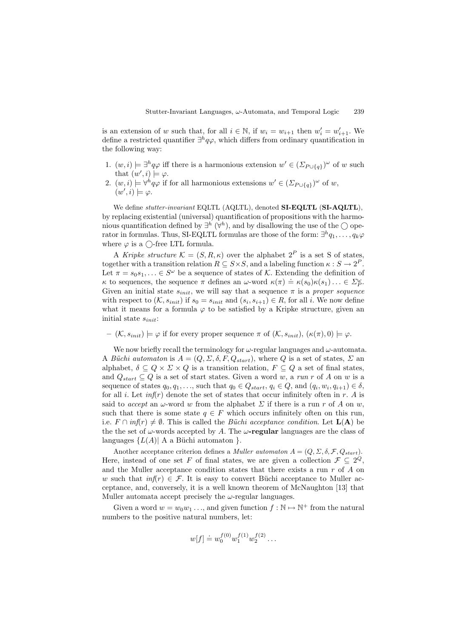is an extension of w such that, for all  $i \in \mathbb{N}$ , if  $w_i = w_{i+1}$  then  $w'_i = w'_{i+1}$ . We define a restricted quantifier  $\exists^h q\varphi$ , which differs from ordinary quantification in the following way:

- 1.  $(w, i) \models \exists^h q \varphi$  iff there is a harmonious extension  $w' \in (\Sigma_{P \cup \{q\}})^\omega$  of w such that  $(w', i) \models \varphi$ .
- 2.  $(w, i) \models \forall^h q \varphi$  if for all harmonious extensions  $w' \in (\varSigma_{P \cup \{q\}})^\omega$  of w,  $(w', i) \models \varphi.$

We define stutter-invariant EQLTL (AQLTL), denoted **SI-EQLTL** (**SI-AQLTL**), by replacing existential (universal) quantification of propositions with the harmonious quantification defined by  $\exists^h (\forall^h)$ , and by disallowing the use of the  $\bigcirc$  operator in formulas. Thus, SI-EQLTL formulas are those of the form:  $\exists^h q_1,\ldots,q_k\varphi$ where  $\varphi$  is a  $\bigcirc$ -free LTL formula.

A Kripke structure  $\mathcal{K} = (S, R, \kappa)$  over the alphabet  $2^P$  is a set S of states, together with a transition relation  $R \subseteq S \times S$ , and a labeling function  $\kappa : S \to 2^P$ . Let  $\pi = s_0 s_1, \ldots \in S^{\omega}$  be a sequence of states of K. Extending the definition of  $\kappa$  to sequences, the sequence π defines an ω-word  $\kappa(\pi) \doteq \kappa(s_0)\kappa(s_1) \ldots \in \Sigma_p^{\omega}$ . Given an initial state  $s_{init}$ , we will say that a sequence  $\pi$  is a proper sequence with respect to  $(\mathcal{K}, s_{init})$  if  $s_0 = s_{init}$  and  $(s_i, s_{i+1}) \in R$ , for all i. We now define what it means for a formula  $\varphi$  to be satisfied by a Kripke structure, given an initial state  $s_{init}$ :

 $(\mathcal{K}, s_{init}) \models \varphi$  if for every proper sequence  $\pi$  of  $(\mathcal{K}, s_{init}), (\kappa(\pi), 0) \models \varphi$ .

We now briefly recall the terminology for  $\omega$ -regular languages and  $\omega$ -automata. A Büchi automaton is  $A = (Q, \Sigma, \delta, F, Q_{start})$ , where Q is a set of states,  $\Sigma$  an alphabet,  $\delta \subseteq Q \times \Sigma \times Q$  is a transition relation,  $F \subseteq Q$  a set of final states, and  $Q_{start} \subseteq Q$  is a set of start states. Given a word w, a run r of A on w is a sequence of states  $q_0, q_1, \ldots$ , such that  $q_0 \in Q_{start}, q_i \in Q$ , and  $(q_i, w_i, q_{i+1}) \in \delta$ , for all *i*. Let  $\inf(r)$  denote the set of states that occur infinitely often in r. A is said to accept an  $\omega$ -word w from the alphabet  $\Sigma$  if there is a run r of A on w, such that there is some state  $q \in F$  which occurs infinitely often on this run, i.e.  $F \cap \inf(r) \neq \emptyset$ . This is called the *Büchi* acceptance condition. Let  $\mathbf{L}(\mathbf{A})$  be the the set of  $\omega$ -words accepted by A. The  $\omega$ -**regular** languages are the class of languages  ${L(A) | A$  a Büchi automaton }.

Another acceptance criterion defines a *Muller automaton*  $A = (Q, \Sigma, \delta, \mathcal{F}, Q_{start})$ . Here, instead of one set F of final states, we are given a collection  $\mathcal{F} \subseteq 2^Q$ , and the Muller acceptance condition states that there exists a run  $r$  of  $\tilde{A}$  on w such that  $inf(r) \in \mathcal{F}$ . It is easy to convert Büchi acceptance to Muller acceptance, and, conversely, it is a well known theorem of McNaughton [13] that Muller automata accept precisely the  $\omega$ -regular languages.

Given a word  $w = w_0w_1 \ldots$ , and given function  $f : \mathbb{N} \to \mathbb{N}^+$  from the natural numbers to the positive natural numbers, let:

$$
w[f] \doteq w_0^{f(0)} w_1^{f(1)} w_2^{f(2)} \dots
$$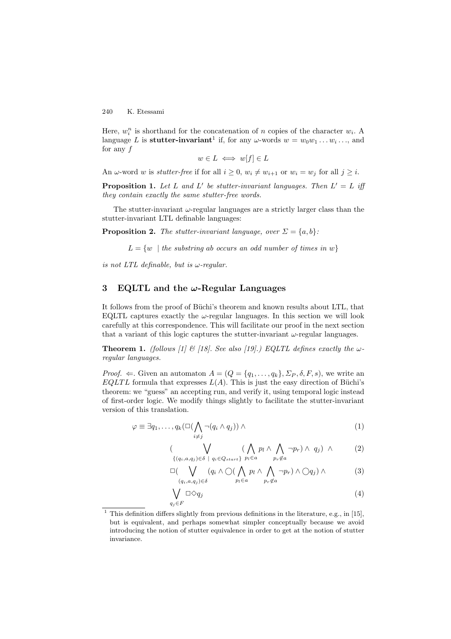Here,  $w_i^n$  is shorthand for the concatenation of n copies of the character  $w_i$ . A language L is **stutter-invariant**<sup>1</sup> if, for any  $\omega$ -words  $w = w_0w_1 \dots w_i \dots$ , and for any  $f$ 

$$
w \in L \iff w[f] \in L
$$

An  $\omega$ -word w is *stutter-free* if for all  $i \geq 0$ ,  $w_i \neq w_{i+1}$  or  $w_i = w_j$  for all  $j \geq i$ .

**Proposition 1.** Let L and L' be stutter-invariant languages. Then  $L' = L$  iff they contain exactly the same stutter-free words.

The stutter-invariant  $\omega$ -regular languages are a strictly larger class than the stutter-invariant LTL definable languages:

**Proposition 2.** The stutter-invariant language, over  $\Sigma = \{a, b\}$ :

 $L = \{w \mid the \; substring \; ab \; occurs \; an \; odd \; number \; of \; times \; in \; w\}$ 

is not LTL definable, but is  $\omega$ -regular.

# **3 EQLTL and the** *ω***-Regular Languages**

It follows from the proof of Büchi's theorem and known results about LTL, that EQLTL captures exactly the  $\omega$ -regular languages. In this section we will look carefully at this correspondence. This will facilitate our proof in the next section that a variant of this logic captures the stutter-invariant  $\omega$ -regular languages.

**Theorem 1.** (follows [1] & [18]. See also [19].) EQLTL defines exactly the  $\omega$ regular languages.

*Proof.*  $\Leftarrow$ . Given an automaton  $A = (Q = \{q_1, \ldots, q_k\}, \Sigma_P, \delta, F, s)$ , we write an EQLTL formula that expresses  $L(A)$ . This is just the easy direction of Büchi's theorem: we "guess" an accepting run, and verify it, using temporal logic instead of first-order logic. We modify things slightly to facilitate the stutter-invariant version of this translation.

$$
\varphi \equiv \exists q_1, \dots, q_k (\Box(\bigwedge_{i \neq j} \neg (q_i \land q_j)) \land \tag{1}
$$

$$
\left(\bigvee_{\{(q_i, a, q_j) \in \delta \; | \; q_i \in Q_{start}\}} \left(\bigwedge_{p_l \in a} p_l \land \bigwedge_{p_r \notin a} \neg p_r\right) \land q_j\right) \land \tag{2}
$$

$$
\Box \big( \bigvee_{(q_i, a, q_j) \in \delta} (q_i \land \bigcirc (\bigwedge_{p_l \in a} p_l \land \bigwedge_{p_r \notin a} \neg p_r) \land \bigcirc q_j) \land \tag{3}
$$

$$
\bigvee_{q_j \in F} \Box \Diamond q_j \tag{4}
$$

<sup>&</sup>lt;sup>1</sup> This definition differs slightly from previous definitions in the literature, e.g., in [15], but is equivalent, and perhaps somewhat simpler conceptually because we avoid introducing the notion of stutter equivalence in order to get at the notion of stutter invariance.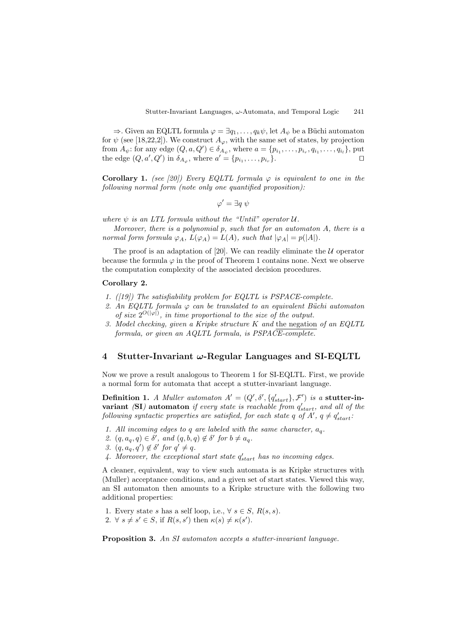$\Rightarrow$ . Given an EQLTL formula  $\varphi = \exists q_1, \ldots, q_k \psi$ , let  $A_{\psi}$  be a Büchi automaton for  $\psi$  (see [18,22,2]). We construct  $A_{\varphi}$ , with the same set of states, by projection from  $A_{\psi}$ : for any edge  $(Q, a, Q') \in \delta_{A_{\psi}}$ , where  $a = \{p_{i_1}, \ldots, p_{i_r}, q_{i_1}, \ldots, q_{i_l}\}$ , put the edge  $(Q, a', Q')$  in  $\delta_{A_{\varphi}}$ , where  $a' = \{p_{i_1}, \ldots, p_{i_r}\}.$ 

**Corollary 1.** (see [20]) Every EQLTL formula  $\varphi$  is equivalent to one in the following normal form (note only one quantified proposition):

$$
\varphi' = \exists q \; \psi
$$

where  $\psi$  is an LTL formula without the "Until" operator  $\mathcal{U}$ .

Moreover, there is a polynomial  $p$ , such that for an automaton  $A$ , there is a normal form formula  $\varphi_A$ ,  $L(\varphi_A) = L(A)$ , such that  $|\varphi_A| = p(|A|)$ .

The proof is an adaptation of [20]. We can readily eliminate the  $U$  operator because the formula  $\varphi$  in the proof of Theorem 1 contains none. Next we observe the computation complexity of the associated decision procedures.

#### **Corollary 2.**

- 1. ( $|19\rangle$ ) The satisfiability problem for EQLTL is PSPACE-complete.
- 2. An EQLTL formula  $\varphi$  can be translated to an equivalent Büchi automaton of size  $2^{O(|\varphi|)}$ , in time proportional to the size of the output.
- 3. Model checking, given a Kripke structure K and the negation of an EQLTL formula, or given an AQLTL formula, is PSPACE-complete.

#### **4 Stutter-Invariant** *ω***-Regular Languages and SI-EQLTL**

Now we prove a result analogous to Theorem 1 for SI-EQLTL. First, we provide a normal form for automata that accept a stutter-invariant language.

**Definition 1.** A Muller automaton  $A' = (Q', \delta', \{q'_{start}\}, \mathcal{F}')$  is a **stutter-invariant** (SI) automaton if every state is reachable from  $q'_{start}$ , and all of the following syntactic properties are satisfied, for each state  $q$  of  $A'$ ,  $q \neq q'_{start}$ :

- 1. All incoming edges to q are labeled with the same character,  $a_q$ .
- 2.  $(q, a_q, q) \in \delta'$ , and  $(q, b, q) \notin \delta'$  for  $b \neq a_q$ .
- 3.  $(q, a_q, q') \notin \delta'$  for  $q' \neq q$ .
- 4. Moreover, the exceptional start state  $q'_{start}$  has no incoming edges.

A cleaner, equivalent, way to view such automata is as Kripke structures with (Muller) acceptance conditions, and a given set of start states. Viewed this way, an SI automaton then amounts to a Kripke structure with the following two additional properties:

- 1. Every state s has a self loop, i.e.,  $\forall s \in S$ ,  $R(s, s)$ .
- 2.  $\forall s \neq s' \in S$ , if  $R(s, s')$  then  $\kappa(s) \neq \kappa(s')$ .

**Proposition 3.** An SI automaton accepts a stutter-invariant language.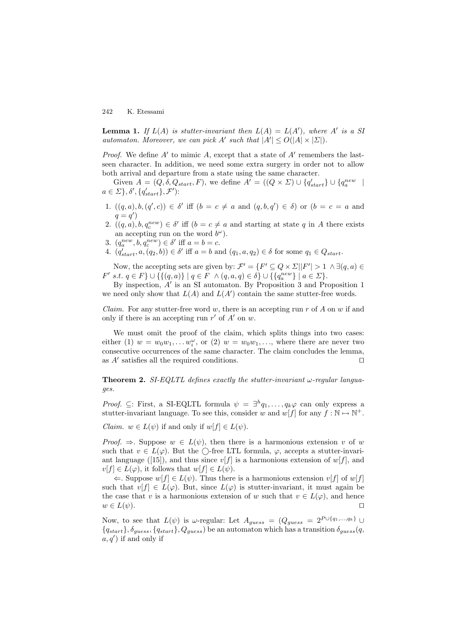**Lemma 1.** If  $L(A)$  is stutter-invariant then  $L(A) = L(A')$ , where A' is a SI automaton. Moreover, we can pick A' such that  $|A'| \le O(|A| \times |\Sigma|)$ .

*Proof.* We define  $A'$  to mimic A, except that a state of  $A'$  remembers the lastseen character. In addition, we need some extra surgery in order not to allow both arrival and departure from a state using the same character.

Given  $A = (Q, \delta, Q_{start}, F)$ , we define  $A' = ((Q \times \Sigma) \cup \{q'_{start}\} \cup \{q^{new}_{a} \mid$  $a \in \Sigma$ ,  $\delta', \{q'_{start}\}, \mathcal{F}'$ :

- 1.  $((q, a), b, (q', c)) \in \delta'$  iff  $(b = c \neq a$  and  $(q, b, q') \in \delta)$  or  $(b = c = a$  and  $q = q'$
- 2.  $((q, a), b, q_c^{new}) \in \delta'$  iff  $(b = c \neq a$  and starting at state q in A there exists an accepting run on the word  $b^{\omega}$ ).
- 3.  $(q_a^{new}, b, q_c^{new}) \in \delta'$  iff  $a = b = c$ .
- 4.  $(q'_{start}, a, (q_2, b)) \in \delta'$  iff  $a = b$  and  $(q_1, a, q_2) \in \delta$  for some  $q_1 \in Q_{start}$ .

Now, the accepting sets are given by:  $\mathcal{F}' = \{F' \subseteq Q \times \Sigma | |F'| > 1 \land \exists (q, a) \in$  $F' \text{ s.t. } q \in F$   $\} \cup \{ \{ (q, a) \} | q \in F \land (q, a, q) \in \delta \} \cup \{ \{ q_a^{new} \} | a \in \Sigma \}.$ 

By inspection,  $A'$  is an SI automaton. By Proposition 3 and Proposition 1 we need only show that  $L(A)$  and  $L(A')$  contain the same stutter-free words.

*Claim.* For any stutter-free word w, there is an accepting run r of A on w if and only if there is an accepting run  $r'$  of  $A'$  on  $w$ .

We must omit the proof of the claim, which splits things into two cases: either (1)  $w = w_0w_1, \ldots w_i^{\omega}$ , or (2)  $w = w_0w_1, \ldots$ , where there are never two consecutive occurrences of the same character. The claim concludes the lemma, as  $A'$  satisfies all the required conditions.

**Theorem 2.** SI-EQLTL defines exactly the stutter-invariant  $\omega$ -regular languages.

*Proof.* ⊆: First, a SI-EQLTL formula  $\psi = \exists^h q_1, \ldots, q_k \varphi$  can only express a stutter-invariant language. To see this, consider w and  $w[f]$  for any  $f : \mathbb{N} \to \mathbb{N}^+$ .

*Claim.*  $w \in L(\psi)$  if and only if  $w[f] \in L(\psi)$ .

*Proof.*  $\Rightarrow$ . Suppose  $w \in L(\psi)$ , then there is a harmonious extension v of w such that  $v \in L(\varphi)$ . But the  $\bigcirc$ -free LTL formula,  $\varphi$ , accepts a stutter-invariant language ([15]), and thus since  $v[f]$  is a harmonious extension of  $w[f]$ , and  $v[f] \in L(\varphi)$ , it follows that  $w[f] \in L(\psi)$ .

 $\Leftarrow$ . Suppose  $w[f] \in L(\psi)$ . Thus there is a harmonious extension  $v[f]$  of  $w[f]$ such that  $v[f] \in L(\varphi)$ . But, since  $L(\varphi)$  is stutter-invariant, it must again be the case that v is a harmonious extension of w such that  $v \in L(\varphi)$ , and hence  $w \in L(\psi).$ 

Now, to see that  $L(\psi)$  is  $\omega$ -regular: Let  $A_{guess} = (Q_{guess} = 2^{P \cup \{q_1, ..., q_k\}} \cup$  ${q_{start}}$ ,  $\delta_{guess}$ ,  ${q_{start}}$ ,  $Q_{guess}$ ) be an automaton which has a transition  $\delta_{guess}(q,$  $a, q'$ ) if and only if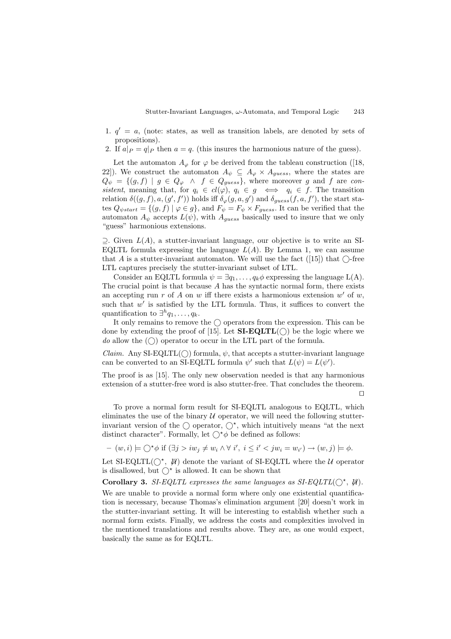- 1.  $q' = a$ , (note: states, as well as transition labels, are denoted by sets of propositions).
- 2. If  $a|_P = q|_P$  then  $a = q$ . (this insures the harmonious nature of the guess).

Let the automaton  $A_{\varphi}$  for  $\varphi$  be derived from the tableau construction ([18, 22]). We construct the automaton  $A_{\psi} \subseteq A_{\varphi} \times A_{guess}$ , where the states are  $Q_{\psi} = \{(g, f) \mid g \in Q_{\varphi} \land f \in Q_{guess}\},$  where moreover g and f are consistent, meaning that, for  $q_i \in cl(\varphi)$ ,  $q_i \in g \iff q_i \in f$ . The transition relation  $\delta((g, f), a, (g', f'))$  holds iff  $\delta_{\varphi}(g, a, g')$  and  $\delta_{guess}(f, a, f')$ , the start states  $Q_{\psi start} = \{(g, f) | \varphi \in g\}$ , and  $F_{\psi} = F_{\psi} \times F_{guess}$ . It can be verified that the automaton  $A_{\psi}$  accepts  $L(\psi)$ , with  $A_{guess}$  basically used to insure that we only "guess" harmonious extensions.

 $\supseteq$ . Given  $L(A)$ , a stutter-invariant language, our objective is to write an SI-EQLTL formula expressing the language  $L(A)$ . By Lemma 1, we can assume that A is a stutter-invariant automaton. We will use the fact ([15]) that  $\bigcap$ -free LTL captures precisely the stutter-invariant subset of LTL.

Consider an EQLTL formula  $\psi = \exists q_1, \ldots, q_k \phi$  expressing the language L(A). The crucial point is that because A has the syntactic normal form, there exists an accepting run r of A on w iff there exists a harmonious extension w' of w, such that  $w'$  is satisfied by the LTL formula. Thus, it suffices to convert the quantification to  $\exists^h q_1,\ldots,q_k$ .

It only remains to remove the  $\bigcirc$  operators from the expression. This can be done by extending the proof of [15]. Let  $SL-EQLTL(\bigcap)$  be the logic where we do allow the  $(\bigcirc)$  operator to occur in the LTL part of the formula.

*Claim.* Any SI-EQLTL( $\cap$ ) formula,  $\psi$ , that accepts a stutter-invariant language can be converted to an SI-EQLTL formula  $\psi'$  such that  $L(\psi) = L(\psi')$ .

The proof is as [15]. The only new observation needed is that any harmonious extension of a stutter-free word is also stutter-free. That concludes the theorem. П

To prove a normal form result for SI-EQLTL analogous to EQLTL, which eliminates the use of the binary  $U$  operator, we will need the following stutterinvariant version of the  $\bigcap$  operator,  $\bigcap^*$ , which intuitively means "at the next" distinct character". Formally, let  $\bigcap^{\star}\phi$  be defined as follows:

$$
-(w,i) \models \bigcirc^* \phi \text{ if } (\exists j > iw_j \neq w_i \land \forall i', i \leq i' < jw_i = w_{i'}) \rightarrow (w,j) \models \phi.
$$

Let SI-EQLTL( $(\gamma^*, \psi)$  denote the variant of SI-EQLTL where the U operator is disallowed, but  $\bigcirc^*$  is allowed. It can be shown that

**Corollary 3.** SI-EQLTL expresses the same languages as  $SI$ -EQLTL( $\bigcap^*$ ,  $\mathcal{U}$ ).

We are unable to provide a normal form where only one existential quantification is necessary, because Thomas's elimination argument [20] doesn't work in the stutter-invariant setting. It will be interesting to establish whether such a normal form exists. Finally, we address the costs and complexities involved in the mentioned translations and results above. They are, as one would expect, basically the same as for EQLTL.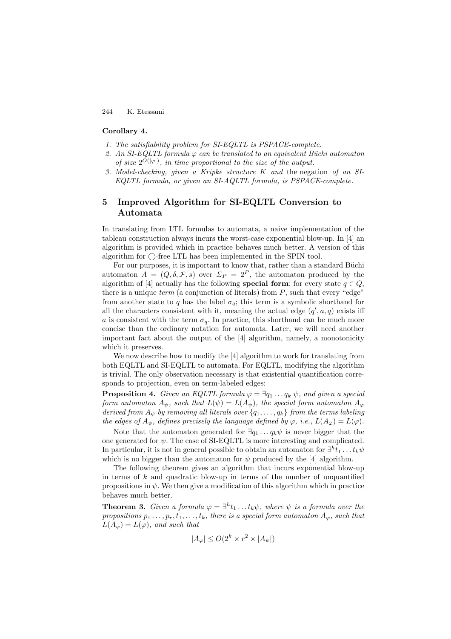#### **Corollary 4.**

- 1. The satisfiability problem for SI-EQLTL is PSPACE-complete.
- 2. An SI-EQLTL formula  $\varphi$  can be translated to an equivalent Büchi automaton of size  $2^{O(|\varphi|)}$ , in time proportional to the size of the output.
- 3. Model-checking, given a Kripke structure K and the negation of an SI-EQLTL formula, or given an SI-AQLTL formula, is PSPACE-complete.

# **5 Improved Algorithm for SI-EQLTL Conversion to Automata**

In translating from LTL formulas to automata, a naive implementation of the tableau construction always incurs the worst-case exponential blow-up. In [4] an algorithm is provided which in practice behaves much better. A version of this algorithm for  $\bigcirc$ -free LTL has been implemented in the SPIN tool.

For our purposes, it is important to know that, rather than a standard Büchi automaton  $A = (Q, \delta, \mathcal{F}, s)$  over  $\Sigma_P = 2^P$ , the automaton produced by the algorithm of [4] actually has the following **special form**: for every state  $q \in Q$ , there is a unique  $term$  (a conjunction of literals) from  $P$ , such that every "edge" from another state to q has the label  $\sigma_q$ ; this term is a symbolic shorthand for all the characters consistent with it, meaning the actual edge  $(q', a, q)$  exists iff a is consistent with the term  $\sigma_q$ . In practice, this shorthand can be much more concise than the ordinary notation for automata. Later, we will need another important fact about the output of the [4] algorithm, namely, a monotonicity which it preserves.

We now describe how to modify the [4] algorithm to work for translating from both EQLTL and SI-EQLTL to automata. For EQLTL, modifying the algorithm is trivial. The only observation necessary is that existential quantification corresponds to projection, even on term-labeled edges:

**Proposition 4.** Given an EQLTL formula  $\varphi = \exists q_1 \dots q_k \psi$ , and given a special form automaton  $A_{\psi}$ , such that  $L(\psi) = L(A_{\psi})$ , the special form automaton  $A_{\varphi}$ derived from  $A_{\psi}$  by removing all literals over  $\{q_1,\ldots,q_k\}$  from the terms labeling the edges of  $A_{\psi}$ , defines precisely the language defined by  $\varphi$ , i.e.,  $L(A_{\varphi}) = L(\varphi)$ .

Note that the automaton generated for  $\exists q_1 \dots q_k \psi$  is never bigger that the one generated for  $\psi$ . The case of SI-EQLTL is more interesting and complicated. In particular, it is not in general possible to obtain an automaton for  $\exists^h t_1 \dots t_k \psi$ which is no bigger than the automaton for  $\psi$  produced by the [4] algorithm.

The following theorem gives an algorithm that incurs exponential blow-up in terms of  $k$  and quadratic blow-up in terms of the number of unquantified propositions in  $\psi$ . We then give a modification of this algorithm which in practice behaves much better.

**Theorem 3.** Given a formula  $\varphi = \exists^h t_1 \dots t_k \psi$ , where  $\psi$  is a formula over the propositions  $p_1 \ldots, p_r, t_1, \ldots, t_k$ , there is a special form automaton  $A_{\varphi}$ , such that  $L(A_{\varphi}) = L(\varphi)$ , and such that

$$
|A_{\varphi}| \le O(2^k \times r^2 \times |A_{\psi}|)
$$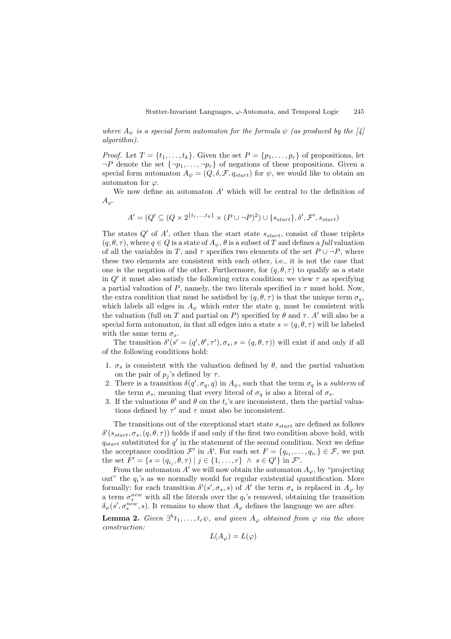where  $A_{\psi}$  is a special form automaton for the formula  $\psi$  (as produced by the [4] algorithm).

*Proof.* Let  $T = \{t_1, \ldots, t_k\}$ . Given the set  $P = \{p_1, \ldots, p_r\}$  of propositions, let  $\neg P$  denote the set  $\{\neg p_1,\ldots,\neg p_r\}$  of negations of these propositions. Given a special form automaton  $A_{\psi} = (Q, \delta, \mathcal{F}, q_{start})$  for  $\psi$ , we would like to obtain an automaton for  $\varphi$ .

We now define an automaton  $A'$  which will be central to the definition of  $A_{\varphi}$ .

 $A' = (Q' \subseteq (Q \times 2^{\{t_1, ..., t_k\}} \times (P \cup \neg P)^2) \cup \{s_{start}\}, \delta', \mathcal{F}', s_{start})$ 

The states  $Q'$  of  $A'$ , other than the start state  $s_{start}$ , consist of those triplets  $(q, \theta, \tau)$ , where  $q \in Q$  is a state of  $A_{\psi}$ ,  $\theta$  is a subset of T and defines a full valuation of all the variables in T, and  $\tau$  specifies two elements of the set  $P \cup \neg P$ , where these two elements are consistent with each other, i.e., it is not the case that one is the negation of the other. Furthermore, for  $(q, \theta, \tau)$  to qualify as a state in  $Q'$  it must also satisfy the following extra condition: we view  $\tau$  as specifying a partial valuation of P, namely, the two literals specified in  $\tau$  must hold. Now, the extra condition that must be satisfied by  $(q, \theta, \tau)$  is that the unique term  $\sigma_q$ , which labels all edges in  $A_{\psi}$  which enter the state q, must be consistent with the valuation (full on T and partial on P) specified by  $\theta$  and  $\tau$ . A' will also be a special form automaton, in that all edges into a state  $s = (q, \theta, \tau)$  will be labeled with the same term  $\sigma_s$ .

The transition  $\delta'(s' = (q', \theta', \tau'), \sigma_s, s = (q, \theta, \tau))$  will exist if and only if all of the following conditions hold:

- 1.  $\sigma_s$  is consistent with the valuation defined by  $\theta$ , and the partial valuation on the pair of  $p_j$ 's defined by  $\tau$ .
- 2. There is a transition  $\delta(q', \sigma_q, q)$  in  $A_{\psi}$ , such that the term  $\sigma_q$  is a *subterm* of the term  $\sigma_s$ , meaning that every literal of  $\sigma_q$  is also a literal of  $\sigma_s$ .
- 3. If the valuations  $\theta'$  and  $\theta$  on the  $t_i$ 's are inconsistent, then the partial valuations defined by  $\tau'$  and  $\tau$  must also be inconsistent.

The transitions out of the exceptional start state  $s_{start}$  are defined as follows  $\delta'(s_{start}, \sigma_s, (q, \theta, \tau))$  holds if and only if the first two condition above hold, with  $q_{start}$  substituted for  $q'$  in the statement of the second condition. Next we define the acceptance condition  $\mathcal{F}'$  in A'. For each set  $F = \{q_{i_1}, \ldots, q_{i_r}\} \in \mathcal{F}$ , we put the set  $F' = \{ s = (q_{i_j}, \theta, \tau) \mid j \in \{1, ..., r\} \land s \in Q' \}$  in  $\mathcal{F}'$ .

From the automaton  $A'$  we will now obtain the automaton  $A_{\varphi}$ , by "projecting out" the  $q_i$ 's as we normally would for regular existential quantification. More formally: for each transition  $\delta'(s', \sigma_s, s)$  of A' the term  $\sigma_s$  is replaced in  $A_{\varphi}$  by a term  $\sigma_s^{new}$  with all the literals over the  $q_i$ 's removed, obtaining the transition  $\delta_{\varphi}(s',\sigma_s^{new},s)$ . It remains to show that  $A_{\varphi}$  defines the language we are after.

**Lemma 2.** Given  $\exists^h t_1, \ldots, t_r \psi$ , and given  $A_{\varphi}$  obtained from  $\varphi$  via the above construction:

$$
L(A_{\varphi}) = L(\varphi)
$$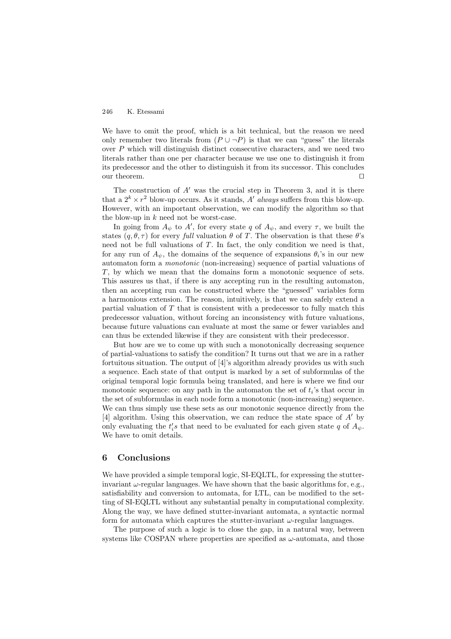We have to omit the proof, which is a bit technical, but the reason we need only remember two literals from  $(P \cup \neg P)$  is that we can "guess" the literals over P which will distinguish distinct consecutive characters, and we need two literals rather than one per character because we use one to distinguish it from its predecessor and the other to distinguish it from its successor. This concludes our theorem.

The construction of  $A'$  was the crucial step in Theorem 3, and it is there that a  $2^k \times r^2$  blow-up occurs. As it stands, A' always suffers from this blow-up. However, with an important observation, we can modify the algorithm so that the blow-up in  $k$  need not be worst-case.

In going from  $A_{\psi}$  to  $A'$ , for every state q of  $A_{\psi}$ , and every  $\tau$ , we built the states  $(q, \theta, \tau)$  for every full valuation  $\theta$  of T. The observation is that these  $\theta$ 's need not be full valuations of  $T$ . In fact, the only condition we need is that, for any run of  $A_{\psi}$ , the domains of the sequence of expansions  $\theta_i$ 's in our new automaton form a monotonic (non-increasing) sequence of partial valuations of T, by which we mean that the domains form a monotonic sequence of sets. This assures us that, if there is any accepting run in the resulting automaton, then an accepting run can be constructed where the "guessed" variables form a harmonious extension. The reason, intuitively, is that we can safely extend a partial valuation of  $T$  that is consistent with a predecessor to fully match this predecessor valuation, without forcing an inconsistency with future valuations, because future valuations can evaluate at most the same or fewer variables and can thus be extended likewise if they are consistent with their predecessor.

But how are we to come up with such a monotonically decreasing sequence of partial-valuations to satisfy the condition? It turns out that we are in a rather fortuitous situation. The output of [4]'s algorithm already provides us with such a sequence. Each state of that output is marked by a set of subformulas of the original temporal logic formula being translated, and here is where we find our monotonic sequence: on any path in the automaton the set of  $t_i$ 's that occur in the set of subformulas in each node form a monotonic (non-increasing) sequence. We can thus simply use these sets as our monotonic sequence directly from the [4] algorithm. Using this observation, we can reduce the state space of  $A'$  by only evaluating the  $t_i$ 's that need to be evaluated for each given state q of  $A_{\psi}$ . We have to omit details.

#### **6 Conclusions**

We have provided a simple temporal logic, SI-EQLTL, for expressing the stutterinvariant  $\omega$ -regular languages. We have shown that the basic algorithms for, e.g., satisfiability and conversion to automata, for LTL, can be modified to the setting of SI-EQLTL without any substantial penalty in computational complexity. Along the way, we have defined stutter-invariant automata, a syntactic normal form for automata which captures the stutter-invariant  $\omega$ -regular languages.

The purpose of such a logic is to close the gap, in a natural way, between systems like COSPAN where properties are specified as  $\omega$ -automata, and those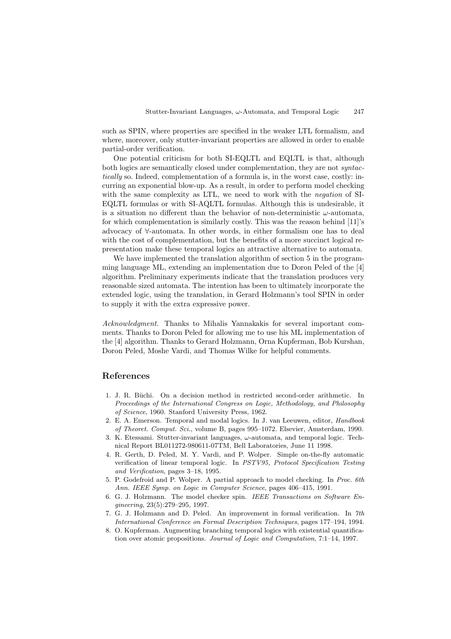such as SPIN, where properties are specified in the weaker LTL formalism, and where, moreover, only stutter-invariant properties are allowed in order to enable partial-order verification.

One potential criticism for both SI-EQLTL and EQLTL is that, although both logics are semantically closed under complementation, they are not *syntac*tically so. Indeed, complementation of a formula is, in the worst case, costly: incurring an exponential blow-up. As a result, in order to perform model checking with the same complexity as LTL, we need to work with the *negation* of SI-EQLTL formulas or with SI-AQLTL formulas. Although this is undesirable, it is a situation no different than the behavior of non-deterministic  $\omega$ -automata, for which complementation is similarly costly. This was the reason behind [11]'s advocacy of ∀-automata. In other words, in either formalism one has to deal with the cost of complementation, but the benefits of a more succinct logical representation make these temporal logics an attractive alternative to automata.

We have implemented the translation algorithm of section 5 in the programming language ML, extending an implementation due to Doron Peled of the [4] algorithm. Preliminary experiments indicate that the translation produces very reasonable sized automata. The intention has been to ultimately incorporate the extended logic, using the translation, in Gerard Holzmann's tool SPIN in order to supply it with the extra expressive power.

Acknowledgment. Thanks to Mihalis Yannakakis for several important comments. Thanks to Doron Peled for allowing me to use his ML implementation of the [4] algorithm. Thanks to Gerard Holzmann, Orna Kupferman, Bob Kurshan, Doron Peled, Moshe Vardi, and Thomas Wilke for helpful comments.

## **References**

- 1. J. R. Büchi. On a decision method in restricted second-order arithmetic. In Proceedings of the International Congress on Logic, Methodology, and Philosophy of Science, 1960. Stanford University Press, 1962.
- 2. E. A. Emerson. Temporal and modal logics. In J. van Leeuwen, editor, Handbook of Theoret. Comput. Sci., volume B, pages 995–1072. Elsevier, Amsterdam, 1990.
- 3. K. Etessami. Stutter-invariant languages,  $\omega$ -automata, and temporal logic. Technical Report BL011272-980611-07TM, Bell Laboratories, June 11 1998.
- 4. R. Gerth, D. Peled, M. Y. Vardi, and P. Wolper. Simple on-the-fly automatic verification of linear temporal logic. In PSTV95, Protocol Specification Testing and Verification, pages 3–18, 1995.
- 5. P. Godefroid and P. Wolper. A partial approach to model checking. In Proc. 6th Ann. IEEE Symp. on Logic in Computer Science, pages 406–415, 1991.
- 6. G. J. Holzmann. The model checker spin. IEEE Transactions on Software Engineering, 23(5):279–295, 1997.
- 7. G. J. Holzmann and D. Peled. An improvement in formal verification. In 7th International Conference on Formal Description Techniques, pages 177–194, 1994.
- 8. O. Kupferman. Augmenting branching temporal logics with existential quantification over atomic propositions. Journal of Logic and Computation, 7:1–14, 1997.